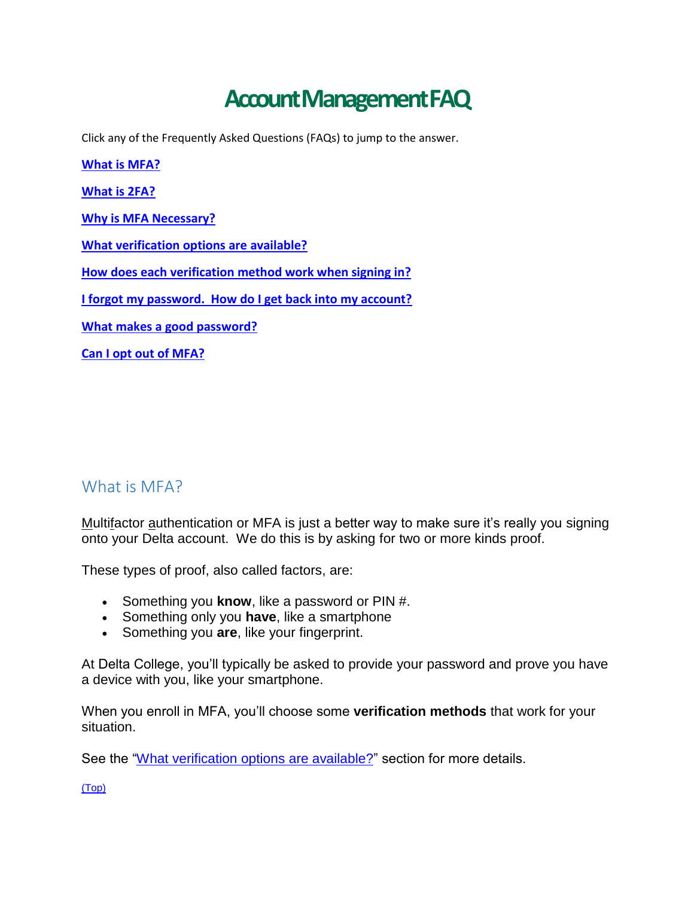# **Account Management FAQ**

<span id="page-0-1"></span>Click any of the Frequently Asked Questions (FAQs) to jump to the answer.

**[What is MFA?](#page-0-0) [What is 2FA?](#page-1-0) [Why is MFA Necessary?](#page-1-1) [What verification options are available?](#page-1-2) [How does each verification method work when signing in?](#page-2-0) [I forgot my password. How do I get back into my account?](#page-3-0) [What makes a good password?](#page-4-0) [Can I opt out of MFA?](#page-4-1)**

## <span id="page-0-0"></span>What is MFA?

Multifactor authentication or MFA is just a better way to make sure it's really you signing onto your Delta account. We do this is by asking for two or more kinds proof.

These types of proof, also called factors, are:

- Something you **know**, like a password or PIN #.
- Something only you **have**, like a smartphone
- Something you **are**, like your fingerprint.

At Delta College, you'll typically be asked to provide your password and prove you have a device with you, like your smartphone.

When you enroll in MFA, you'll choose some **verification methods** that work for your situation.

See the ["What verification options](#page-1-2) are available?" section for more details.

[\(Top\)](#page-0-1)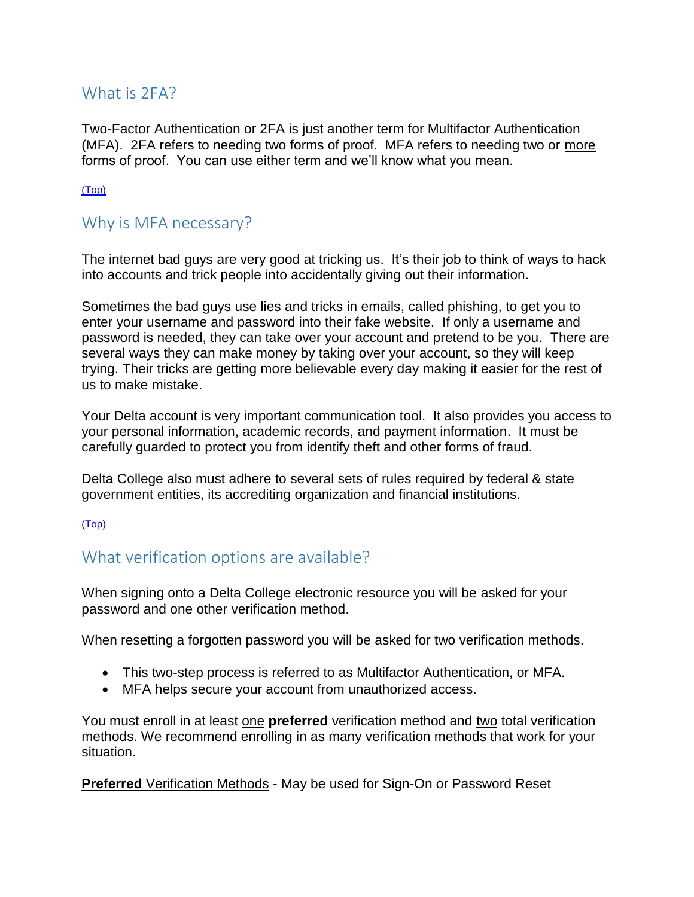## <span id="page-1-0"></span>What is 2FA?

Two-Factor Authentication or 2FA is just another term for Multifactor Authentication (MFA). 2FA refers to needing two forms of proof. MFA refers to needing two or more forms of proof. You can use either term and we'll know what you mean.

#### [\(Top\)](#page-0-1)

### <span id="page-1-1"></span>Why is MFA necessary?

The internet bad guys are very good at tricking us. It's their job to think of ways to hack into accounts and trick people into accidentally giving out their information.

Sometimes the bad guys use lies and tricks in emails, called phishing, to get you to enter your username and password into their fake website. If only a username and password is needed, they can take over your account and pretend to be you. There are several ways they can make money by taking over your account, so they will keep trying. Their tricks are getting more believable every day making it easier for the rest of us to make mistake.

Your Delta account is very important communication tool. It also provides you access to your personal information, academic records, and payment information. It must be carefully guarded to protect you from identify theft and other forms of fraud.

Delta College also must adhere to several sets of rules required by federal & state government entities, its accrediting organization and financial institutions.

[\(Top\)](#page-0-1)

# <span id="page-1-2"></span>What verification options are available?

When signing onto a Delta College electronic resource you will be asked for your password and one other verification method.

When resetting a forgotten password you will be asked for two verification methods.

- This two-step process is referred to as Multifactor Authentication, or MFA.
- MFA helps secure your account from unauthorized access.

You must enroll in at least one **preferred** verification method and two total verification methods. We recommend enrolling in as many verification methods that work for your situation.

**Preferred** Verification Methods - May be used for Sign-On or Password Reset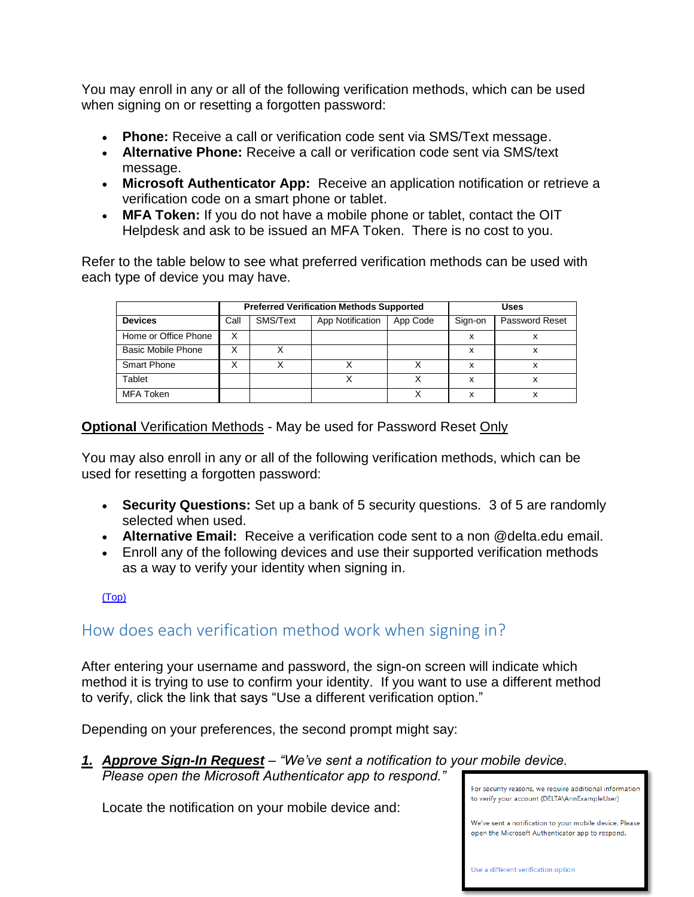You may enroll in any or all of the following verification methods, which can be used when signing on or resetting a forgotten password:

- **Phone:** Receive a call or verification code sent via SMS/Text message.
- **Alternative Phone:** Receive a call or verification code sent via SMS/text message.
- **Microsoft Authenticator App:** Receive an application notification or retrieve a verification code on a smart phone or tablet.
- **MFA Token:** If you do not have a mobile phone or tablet, contact the OIT Helpdesk and ask to be issued an MFA Token. There is no cost to you.

Refer to the table below to see what preferred verification methods can be used with each type of device you may have.

|                      | <b>Preferred Verification Methods Supported</b> |          |                  |          | Uses    |                       |
|----------------------|-------------------------------------------------|----------|------------------|----------|---------|-----------------------|
| <b>Devices</b>       | Call                                            | SMS/Text | App Notification | App Code | Sign-on | <b>Password Reset</b> |
| Home or Office Phone | Χ                                               |          |                  |          | x       | x                     |
| Basic Mobile Phone   |                                                 |          |                  |          | x       | x                     |
| <b>Smart Phone</b>   |                                                 |          |                  |          |         |                       |
| Tablet               |                                                 |          |                  |          | x       | х                     |
| MFA Token            |                                                 |          |                  |          | x       |                       |

#### **Optional** Verification Methods - May be used for Password Reset Only

You may also enroll in any or all of the following verification methods, which can be used for resetting a forgotten password:

- **Security Questions:** Set up a bank of 5 security questions. 3 of 5 are randomly selected when used.
- **Alternative Email:** Receive a verification code sent to a non @delta.edu email.
- Enroll any of the following devices and use their supported verification methods as a way to verify your identity when signing in.

#### [\(Top\)](#page-0-1)

# <span id="page-2-0"></span>How does each verification method work when signing in?

After entering your username and password, the sign-on screen will indicate which method it is trying to use to confirm your identity. If you want to use a different method to verify, click the link that says "Use a different verification option."

Depending on your preferences, the second prompt might say:

*1. Approve Sign-In Request – "We've sent a notification to your mobile device. Please open the Microsoft Authenticator app to respond."* 

Locate the notification on your mobile device and:

For security reasons, we require additional information to verify your account (DELTA\AnnExampleUser)

We've sent a notification to your mobile device. Please open the Microsoft Authenticator ann to respond.

Use a different verification option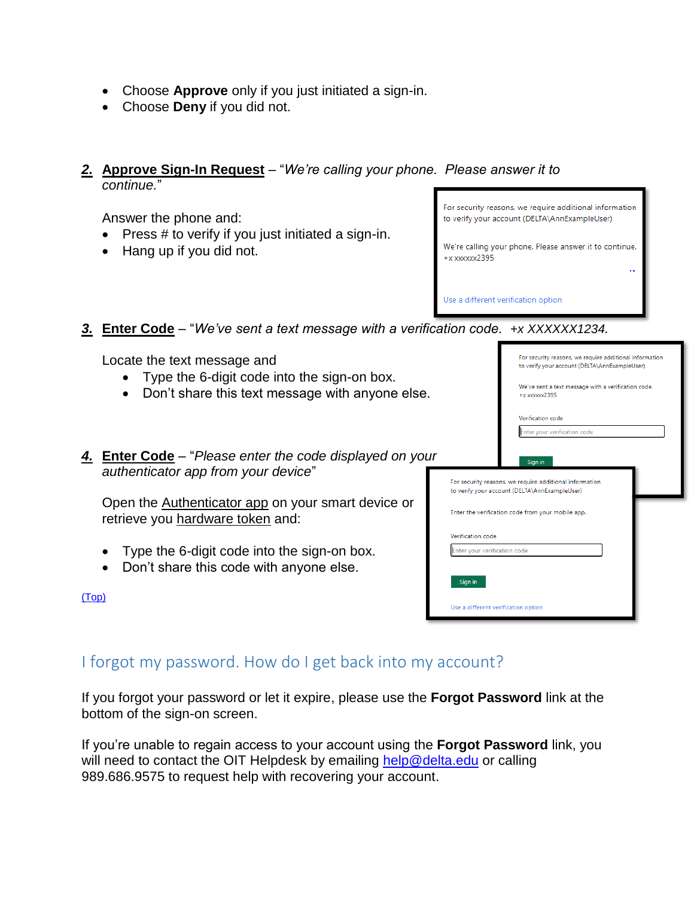- Choose **Approve** only if you just initiated a sign-in.
- Choose **Deny** if you did not.
- *2.* **Approve Sign-In Request** "*We're calling your phone. Please answer it to continue.*"

Answer the phone and:

- $\bullet$  Press # to verify if you just initiated a sign-in.
- Hang up if you did not.

For security reasons, we require additional information to verify your account (DELTA\AnnExampleUser)

We're calling your phone. Please answer it to continue.  $+x$  xxxxxx2395

> For security reasons, we require additional information to verify your account (DELTA\AnnExampleUser) We've sent a text message with a verification code

Use a different verification option

*3.* **Enter Code** – "*We've sent a text message with a verification code. +x XXXXXX1234.* 

Locate the text message and

- Type the 6-digit code into the sign-on box.
- Don't share this text message with anyone else.
- 4. **Enter Code** "*Please enter the code displayed authenticator app from your device*"

Open the Authenticator app on your smart device retrieve you hardware token and:

- Type the 6-digit code into the sign-on box.
- Don't share this code with anyone else.

<span id="page-3-0"></span>

| ט טוסט. | +x xxxxxxzodo                                                                                            |  |  |  |  |  |
|---------|----------------------------------------------------------------------------------------------------------|--|--|--|--|--|
|         | Verification code                                                                                        |  |  |  |  |  |
|         | Enter your verification code                                                                             |  |  |  |  |  |
| on your | Sign in                                                                                                  |  |  |  |  |  |
|         | For security reasons, we require additional information<br>to verify your account (DELTA\AnnExampleUser) |  |  |  |  |  |
| e or:   | Enter the verification code from your mobile app.                                                        |  |  |  |  |  |
|         | Verification code                                                                                        |  |  |  |  |  |
|         | Enter your verification code                                                                             |  |  |  |  |  |
|         | Sign in                                                                                                  |  |  |  |  |  |
|         | Use a different verification option                                                                      |  |  |  |  |  |
|         |                                                                                                          |  |  |  |  |  |

# I forgot my password. How do I get back into my account?

If you forgot your password or let it expire, please use the **Forgot Password** link at the bottom of the sign-on screen.

If you're unable to regain access to your account using the **Forgot Password** link, you will need to contact the OIT Helpdesk by emailing [help@delta.edu](mailto:help@delta.edu) or calling 989.686.9575 to request help with recovering your account.